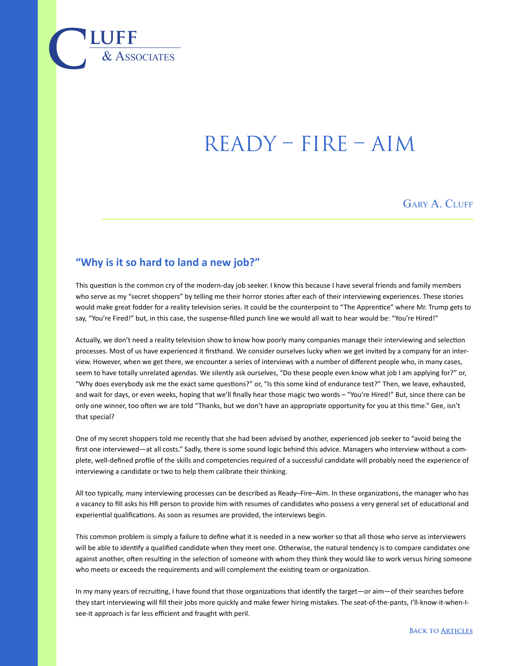

## $RFADV - FIRF - AIM$

GARY A. CLUFF

## **"Why is it so hard to land a new job?"**

This question is the common cry of the modern-day job seeker. I know this because I have several friends and family members who serve as my "secret shoppers" by telling me their horror stories after each of their interviewing experiences. These stories would make great fodder for a reality television series. It could be the counterpoint to "The Apprentice" where Mr. Trump gets to say, "You're Fired!" but, in this case, the suspense-filled punch line we would all wait to hear would be: "You're Hired!"

Actually, we don't need a reality television show to know how poorly many companies manage their interviewing and selection processes. Most of us have experienced it firsthand. We consider ourselves lucky when we get invited by a company for an interview. However, when we get there, we encounter a series of interviews with a number of different people who, in many cases, seem to have totally unrelated agendas. We silently ask ourselves, "Do these people even know what job I am applying for?" or, "Why does everybody ask me the exact same questions?" or, "Is this some kind of endurance test?" Then, we leave, exhausted, and wait for days, or even weeks, hoping that we'll finally hear those magic two words – "You're Hired!" But, since there can be only one winner, too often we are told "Thanks, but we don't have an appropriate opportunity for you at this time." Gee, isn't that special?

One of my secret shoppers told me recently that she had been advised by another, experienced job seeker to "avoid being the first one interviewed—at all costs." Sadly, there is some sound logic behind this advice. Managers who interview without a complete, well-defined profile of the skills and competencies required of a successful candidate will probably need the experience of interviewing a candidate or two to help them calibrate their thinking.

All too typically, many interviewing processes can be described as Ready–Fire–Aim. In these organizations, the manager who has a vacancy to fill asks his HR person to provide him with resumes of candidates who possess a very general set of educational and experiential qualifications. As soon as resumes are provided, the interviews begin.

This common problem is simply a failure to define what it is needed in a new worker so that all those who serve as interviewers will be able to identify a qualified candidate when they meet one. Otherwise, the natural tendency is to compare candidates one against another, often resulting in the selection of someone with whom they think they would like to work versus hiring someone who meets or exceeds the requirements and will complement the existing team or organization.

In my many years of recruiting, I have found that those organizations that identify the target—or aim—of their searches before they start interviewing will fill their jobs more quickly and make fewer hiring mistakes. The seat-of-the-pants, I'll-know-it-when-Isee-it approach is far less efficient and fraught with peril.